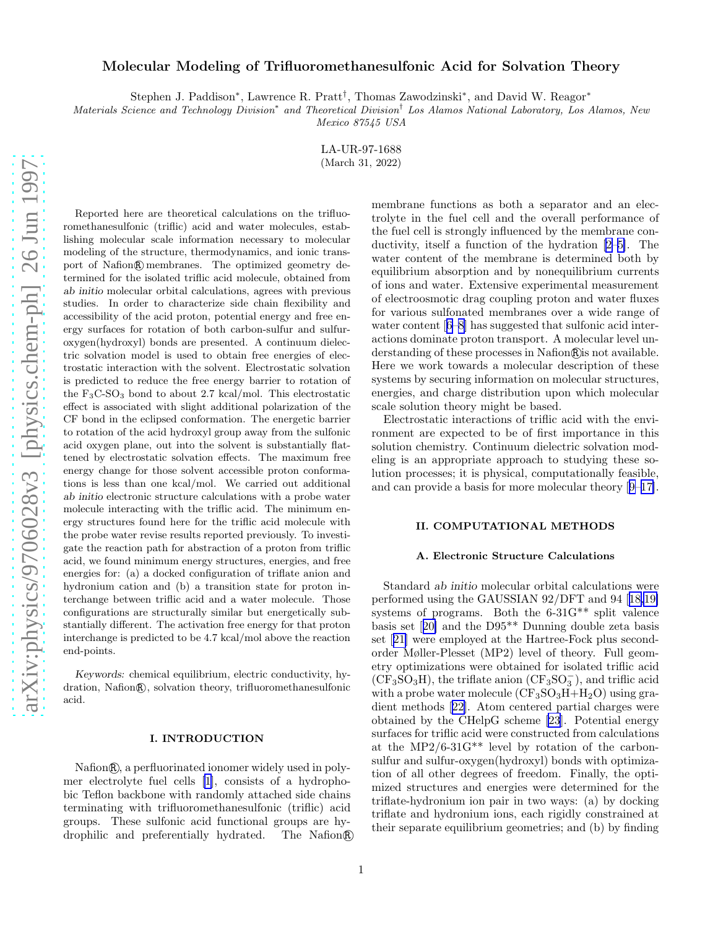# Molecular Modeling of Trifluoromethanesulfonic Acid for Solvation Theory

Stephen J. Paddison<sup>\*</sup>, Lawrence R. Pratt<sup>†</sup>, Thomas Zawodzinski<sup>\*</sup>, and David W. Reagor<sup>\*</sup>

Materials Science and Technology Division<sup>∗</sup> and Theoretical Division† Los Alamos National Laboratory, Los Alamos, New

Mexico 87545 USA

LA-UR-97-1688 (March 31, 2022)

Reported here are theoretical calculations on the trifluoromethanesulfonic (triflic) acid and water molecules, establishing molecular scale information necessary to molecular modeling of the structure, thermodynamics, and ionic transport of Nafion ® membranes. The optimized geometry determined for the isolated triflic acid molecule, obtained from ab initio molecular orbital calculations, agrees with previous studies. In order to characterize side chain flexibility and accessibility of the acid proton, potential energy and free energy surfaces for rotation of both carbon-sulfur and sulfuroxygen(hydroxyl) bonds are presented. A continuum dielectric solvation model is used to obtain free energies of electrostatic interaction with the solvent. Electrostatic solvation is predicted to reduce the free energy barrier to rotation of the  $F_3C-SO_3$  bond to about 2.7 kcal/mol. This electrostatic effect is associated with slight additional polarization of the CF bond in the eclipsed conformation. The energetic barrier to rotation of the acid hydroxyl group away from the sulfonic acid oxygen plane, out into the solvent is substantially flattened by electrostatic solvation effects. The maximum free energy change for those solvent accessible proton conformations is less than one kcal/mol. We carried out additional ab initio electronic structure calculations with a probe water molecule interacting with the triflic acid. The minimum energy structures found here for the triflic acid molecule with the probe water revise results reported previously. To investigate the reaction path for abstraction of a proton from triflic acid, we found minimum energy structures, energies, and free energies for: (a) a docked configuration of triflate anion and hydronium cation and (b) a transition state for proton interchange between triflic acid and a water molecule. Those configurations are structurally similar but energetically substantially different. The activation free energy for that proton interchange is predicted to be 4.7 kcal/mol above the reaction end-points.

Keywords: chemical equilibrium, electric conductivity, hydration, Nafion (R), solvation theory, trifluoromethanesulfonic acid.

### I. INTRODUCTION

Nafion  $\mathbb{R}$ , a perfluorinated ionomer widely used in polymer electrolyte fuel cells[[1\]](#page-2-0), consists of a hydrophobic Teflon backbone with randomly attached side chains terminating with trifluoromethanesulfonic (triflic) acid groups. These sulfonic acid functional groups are hydrophilic and preferentially hydrated. The Nafion R

membrane functions as both a separator and an electrolyte in the fuel cell and the overall performance of the fuel cell is strongly influenced by the membrane conductivity, itself a function of the hydration[[2–5\]](#page-2-0). The water content of the membrane is determined both by equilibrium absorption and by nonequilibrium currents of ions and water. Extensive experimental measurement of electroosmotic drag coupling proton and water fluxes for various sulfonated membranes over a wide range of water content[[6–8](#page-2-0)] has suggested that sulfonic acid interactions dominate proton transport. A molecular level understanding of these processes in Nafion R is not available. Here we work towards a molecular description of these systems by securing information on molecular structures, energies, and charge distribution upon which molecular scale solution theory might be based.

Electrostatic interactions of triflic acid with the environment are expected to be of first importance in this solution chemistry. Continuum dielectric solvation modeling is an appropriate approach to studying these solution processes; it is physical, computationally feasible, and can provide a basis for more molecular theory[[9–17\]](#page-2-0).

## II. COMPUTATIONAL METHODS

#### A. Electronic Structure Calculations

Standard ab initio molecular orbital calculations were performed using the GAUSSIAN 92/DFT and 94[[18,19\]](#page-2-0) systems of programs. Both the 6-31G\*\* split valence basis set[[20\]](#page-3-0) and the D95\*\* Dunning double zeta basis set[[21\]](#page-3-0) were employed at the Hartree-Fock plus secondorder Møller-Plesset (MP2) level of theory. Full geometry optimizations were obtained for isolated triflic acid  $(CF<sub>3</sub>SO<sub>3</sub>H)$ , the triflate anion  $(CF<sub>3</sub>SO<sub>3</sub>)$ , and triflic acid with a probe water molecule  $(CF_3SO_3H+H_2O)$  using gradient methods[[22\]](#page-3-0). Atom centered partial charges were obtained by the CHelpG scheme[[23](#page-3-0)]. Potential energy surfaces for triflic acid were constructed from calculations at the MP2/6-31G\*\* level by rotation of the carbonsulfur and sulfur-oxygen(hydroxyl) bonds with optimization of all other degrees of freedom. Finally, the optimized structures and energies were determined for the triflate-hydronium ion pair in two ways: (a) by docking triflate and hydronium ions, each rigidly constrained at their separate equilibrium geometries; and (b) by finding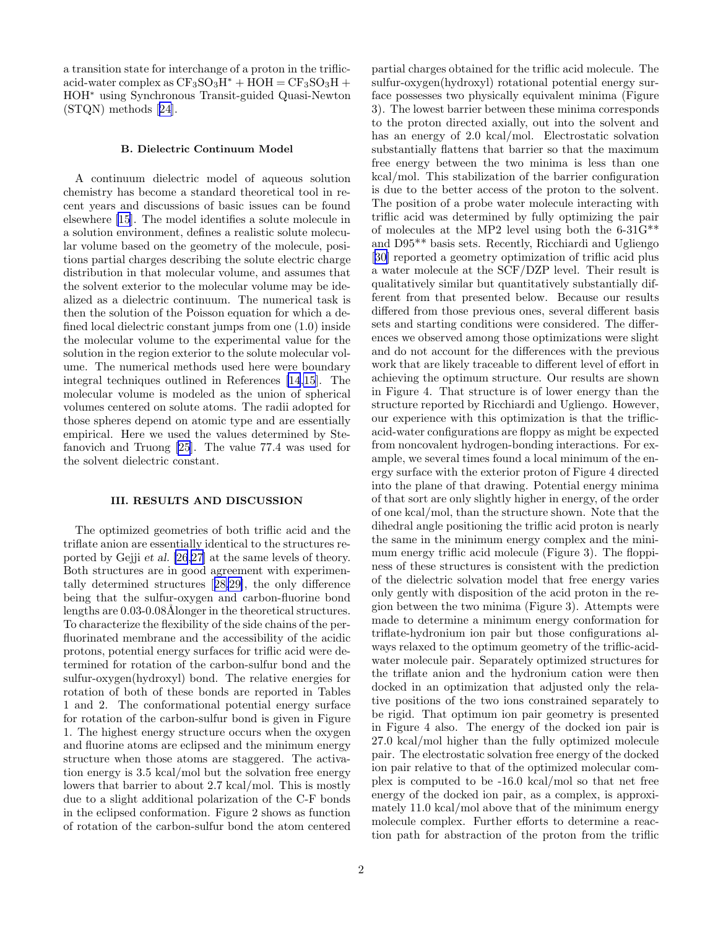a transition state for interchange of a proton in the triflicacid-water complex as  $CF_3SO_3H^* + HOH = CF_3SO_3H +$ HOH<sup>∗</sup> using Synchronous Transit-guided Quasi-Newton (STQN) methods[[24](#page-3-0)].

## B. Dielectric Continuum Model

A continuum dielectric model of aqueous solution chemistry has become a standard theoretical tool in recent years and discussions of basic issues can be found elsewhere [\[15](#page-2-0)]. The model identifies a solute molecule in a solution environment, defines a realistic solute molecular volume based on the geometry of the molecule, positions partial charges describing the solute electric charge distribution in that molecular volume, and assumes that the solvent exterior to the molecular volume may be idealized as a dielectric continuum. The numerical task is then the solution of the Poisson equation for which a defined local dielectric constant jumps from one (1.0) inside the molecular volume to the experimental value for the solution in the region exterior to the solute molecular volume. The numerical methods used here were boundary integral techniques outlined in References [\[14,15](#page-2-0)]. The molecular volume is modeled as the union of spherical volumes centered on solute atoms. The radii adopted for those spheres depend on atomic type and are essentially empirical. Here we used the values determined by Stefanovich and Truong [\[25](#page-3-0)]. The value 77.4 was used for the solvent dielectric constant.

## III. RESULTS AND DISCUSSION

The optimized geometries of both triflic acid and the triflate anion are essentially identical to the structures reported by Gejji et al. [\[26,27](#page-3-0)] at the same levels of theory. Both structures are in good agreement with experimentally determined structures[[28,29\]](#page-3-0), the only difference being that the sulfur-oxygen and carbon-fluorine bond lengths are  $0.03$ - $0.08$ Ålonger in the theoretical structures. To characterize the flexibility of the side chains of the perfluorinated membrane and the accessibility of the acidic protons, potential energy surfaces for triflic acid were determined for rotation of the carbon-sulfur bond and the sulfur-oxygen(hydroxyl) bond. The relative energies for rotation of both of these bonds are reported in Tables 1 and 2. The conformational potential energy surface for rotation of the carbon-sulfur bond is given in Figure 1. The highest energy structure occurs when the oxygen and fluorine atoms are eclipsed and the minimum energy structure when those atoms are staggered. The activation energy is 3.5 kcal/mol but the solvation free energy lowers that barrier to about 2.7 kcal/mol. This is mostly due to a slight additional polarization of the C-F bonds in the eclipsed conformation. Figure 2 shows as function of rotation of the carbon-sulfur bond the atom centered

partial charges obtained for the triflic acid molecule. The sulfur-oxygen(hydroxyl) rotational potential energy surface possesses two physically equivalent minima (Figure 3). The lowest barrier between these minima corresponds to the proton directed axially, out into the solvent and has an energy of 2.0 kcal/mol. Electrostatic solvation substantially flattens that barrier so that the maximum free energy between the two minima is less than one kcal/mol. This stabilization of the barrier configuration is due to the better access of the proton to the solvent. The position of a probe water molecule interacting with triflic acid was determined by fully optimizing the pair of molecules at the MP2 level using both the 6-31G\*\* and D95\*\* basis sets. Recently, Ricchiardi and Ugliengo [[30\]](#page-3-0) reported a geometry optimization of triflic acid plus a water molecule at the SCF/DZP level. Their result is qualitatively similar but quantitatively substantially different from that presented below. Because our results differed from those previous ones, several different basis sets and starting conditions were considered. The differences we observed among those optimizations were slight and do not account for the differences with the previous work that are likely traceable to different level of effort in achieving the optimum structure. Our results are shown in Figure 4. That structure is of lower energy than the structure reported by Ricchiardi and Ugliengo. However, our experience with this optimization is that the triflicacid-water configurations are floppy as might be expected from noncovalent hydrogen-bonding interactions. For example, we several times found a local minimum of the energy surface with the exterior proton of Figure 4 directed into the plane of that drawing. Potential energy minima of that sort are only slightly higher in energy, of the order of one kcal/mol, than the structure shown. Note that the dihedral angle positioning the triflic acid proton is nearly the same in the minimum energy complex and the minimum energy triflic acid molecule (Figure 3). The floppiness of these structures is consistent with the prediction of the dielectric solvation model that free energy varies only gently with disposition of the acid proton in the region between the two minima (Figure 3). Attempts were made to determine a minimum energy conformation for triflate-hydronium ion pair but those configurations always relaxed to the optimum geometry of the triflic-acidwater molecule pair. Separately optimized structures for the triflate anion and the hydronium cation were then docked in an optimization that adjusted only the relative positions of the two ions constrained separately to be rigid. That optimum ion pair geometry is presented in Figure 4 also. The energy of the docked ion pair is 27.0 kcal/mol higher than the fully optimized molecule pair. The electrostatic solvation free energy of the docked ion pair relative to that of the optimized molecular complex is computed to be -16.0 kcal/mol so that net free energy of the docked ion pair, as a complex, is approximately 11.0 kcal/mol above that of the minimum energy molecule complex. Further efforts to determine a reaction path for abstraction of the proton from the triflic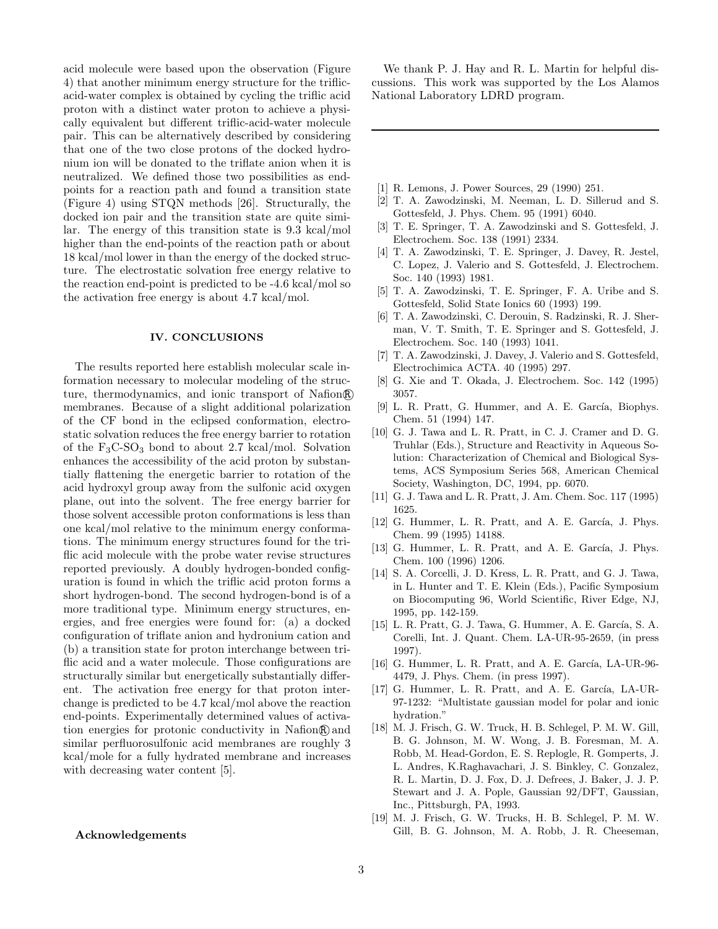<span id="page-2-0"></span>acid molecule were based upon the observation (Figure 4) that another minimum energy structure for the triflicacid-water complex is obtained by cycling the triflic acid proton with a distinct water proton to achieve a physically equivalent but different triflic-acid-water molecule pair. This can be alternatively described by considering that one of the two close protons of the docked hydronium ion will be donated to the triflate anion when it is neutralized. We defined those two possibilities as endpoints for a reaction path and found a transition state (Figure 4) using STQN methods [26]. Structurally, the docked ion pair and the transition state are quite similar. The energy of this transition state is 9.3 kcal/mol higher than the end-points of the reaction path or about 18 kcal/mol lower in than the energy of the docked structure. The electrostatic solvation free energy relative to the reaction end-point is predicted to be -4.6 kcal/mol so the activation free energy is about 4.7 kcal/mol.

#### IV. CONCLUSIONS

The results reported here establish molecular scale information necessary to molecular modeling of the structure, thermodynamics, and ionic transport of Nafion R membranes. Because of a slight additional polarization of the CF bond in the eclipsed conformation, electrostatic solvation reduces the free energy barrier to rotation of the  $F_3C-SO_3$  bond to about 2.7 kcal/mol. Solvation enhances the accessibility of the acid proton by substantially flattening the energetic barrier to rotation of the acid hydroxyl group away from the sulfonic acid oxygen plane, out into the solvent. The free energy barrier for those solvent accessible proton conformations is less than one kcal/mol relative to the minimum energy conformations. The minimum energy structures found for the triflic acid molecule with the probe water revise structures reported previously. A doubly hydrogen-bonded configuration is found in which the triflic acid proton forms a short hydrogen-bond. The second hydrogen-bond is of a more traditional type. Minimum energy structures, energies, and free energies were found for: (a) a docked configuration of triflate anion and hydronium cation and (b) a transition state for proton interchange between triflic acid and a water molecule. Those configurations are structurally similar but energetically substantially different. The activation free energy for that proton interchange is predicted to be 4.7 kcal/mol above the reaction end-points. Experimentally determined values of activation energies for protonic conductivity in Nafion<sup>®</sup> and similar perfluorosulfonic acid membranes are roughly 3 kcal/mole for a fully hydrated membrane and increases with decreasing water content [5].

#### Acknowledgements

We thank P. J. Hay and R. L. Martin for helpful discussions. This work was supported by the Los Alamos National Laboratory LDRD program.

- [1] R. Lemons, J. Power Sources, 29 (1990) 251.
- [2] T. A. Zawodzinski, M. Neeman, L. D. Sillerud and S. Gottesfeld, J. Phys. Chem. 95 (1991) 6040.
- [3] T. E. Springer, T. A. Zawodzinski and S. Gottesfeld, J. Electrochem. Soc. 138 (1991) 2334.
- [4] T. A. Zawodzinski, T. E. Springer, J. Davey, R. Jestel, C. Lopez, J. Valerio and S. Gottesfeld, J. Electrochem. Soc. 140 (1993) 1981.
- [5] T. A. Zawodzinski, T. E. Springer, F. A. Uribe and S. Gottesfeld, Solid State Ionics 60 (1993) 199.
- [6] T. A. Zawodzinski, C. Derouin, S. Radzinski, R. J. Sherman, V. T. Smith, T. E. Springer and S. Gottesfeld, J. Electrochem. Soc. 140 (1993) 1041.
- [7] T. A. Zawodzinski, J. Davey, J. Valerio and S. Gottesfeld, Electrochimica ACTA. 40 (1995) 297.
- [8] G. Xie and T. Okada, J. Electrochem. Soc. 142 (1995) 3057.
- [9] L. R. Pratt, G. Hummer, and A. E. García, Biophys. Chem. 51 (1994) 147.
- [10] G. J. Tawa and L. R. Pratt, in C. J. Cramer and D. G. Truhlar (Eds.), Structure and Reactivity in Aqueous Solution: Characterization of Chemical and Biological Systems, ACS Symposium Series 568, American Chemical Society, Washington, DC, 1994, pp. 6070.
- [11] G. J. Tawa and L. R. Pratt, J. Am. Chem. Soc. 117 (1995) 1625.
- $[12]$  G. Hummer, L. R. Pratt, and A. E. García, J. Phys. Chem. 99 (1995) 14188.
- [13] G. Hummer, L. R. Pratt, and A. E. García, J. Phys. Chem. 100 (1996) 1206.
- [14] S. A. Corcelli, J. D. Kress, L. R. Pratt, and G. J. Tawa, in L. Hunter and T. E. Klein (Eds.), Pacific Symposium on Biocomputing 96, World Scientific, River Edge, NJ, 1995, pp. 142-159.
- [15] L. R. Pratt, G. J. Tawa, G. Hummer, A. E. García, S. A. Corelli, Int. J. Quant. Chem. LA-UR-95-2659, (in press 1997).
- [16] G. Hummer, L. R. Pratt, and A. E. García, LA-UR-96-4479, J. Phys. Chem. (in press 1997).
- $[17]$  G. Hummer, L. R. Pratt, and A. E. García, LA-UR-97-1232: "Multistate gaussian model for polar and ionic hydration."
- [18] M. J. Frisch, G. W. Truck, H. B. Schlegel, P. M. W. Gill, B. G. Johnson, M. W. Wong, J. B. Foresman, M. A. Robb, M. Head-Gordon, E. S. Replogle, R. Gomperts, J. L. Andres, K.Raghavachari, J. S. Binkley, C. Gonzalez, R. L. Martin, D. J. Fox, D. J. Defrees, J. Baker, J. J. P. Stewart and J. A. Pople, Gaussian 92/DFT, Gaussian, Inc., Pittsburgh, PA, 1993.
- [19] M. J. Frisch, G. W. Trucks, H. B. Schlegel, P. M. W. Gill, B. G. Johnson, M. A. Robb, J. R. Cheeseman,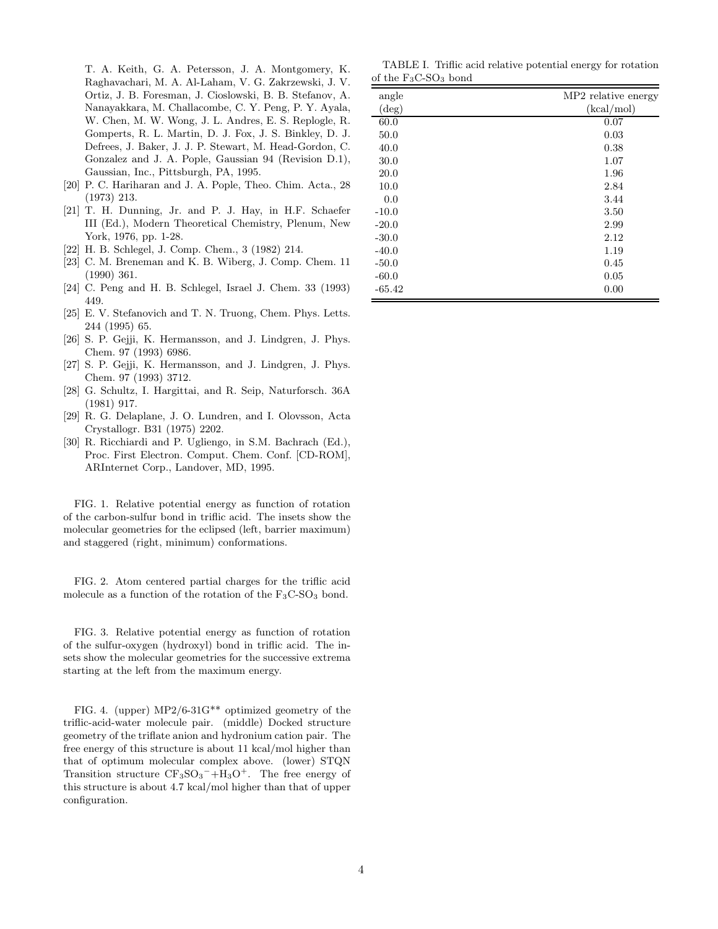<span id="page-3-0"></span>T. A. Keith, G. A. Petersson, J. A. Montgomery, K. Raghavachari, M. A. Al-Laham, V. G. Zakrzewski, J. V. Ortiz, J. B. Foresman, J. Cioslowski, B. B. Stefanov, A. Nanayakkara, M. Challacombe, C. Y. Peng, P. Y. Ayala, W. Chen, M. W. Wong, J. L. Andres, E. S. Replogle, R. Gomperts, R. L. Martin, D. J. Fox, J. S. Binkley, D. J. Defrees, J. Baker, J. J. P. Stewart, M. Head-Gordon, C. Gonzalez and J. A. Pople, Gaussian 94 (Revision D.1), Gaussian, Inc., Pittsburgh, PA, 1995.

- [20] P. C. Hariharan and J. A. Pople, Theo. Chim. Acta., 28 (1973) 213.
- [21] T. H. Dunning, Jr. and P. J. Hay, in H.F. Schaefer III (Ed.), Modern Theoretical Chemistry, Plenum, New York, 1976, pp. 1-28.
- [22] H. B. Schlegel, J. Comp. Chem., 3 (1982) 214.
- [23] C. M. Breneman and K. B. Wiberg, J. Comp. Chem. 11 (1990) 361.
- [24] C. Peng and H. B. Schlegel, Israel J. Chem. 33 (1993) 449.
- [25] E. V. Stefanovich and T. N. Truong, Chem. Phys. Letts. 244 (1995) 65.
- [26] S. P. Gejji, K. Hermansson, and J. Lindgren, J. Phys. Chem. 97 (1993) 6986.
- [27] S. P. Gejji, K. Hermansson, and J. Lindgren, J. Phys. Chem. 97 (1993) 3712.
- [28] G. Schultz, I. Hargittai, and R. Seip, Naturforsch. 36A (1981) 917.
- [29] R. G. Delaplane, J. O. Lundren, and I. Olovsson, Acta Crystallogr. B31 (1975) 2202.
- [30] R. Ricchiardi and P. Ugliengo, in S.M. Bachrach (Ed.), Proc. First Electron. Comput. Chem. Conf. [CD-ROM], ARInternet Corp., Landover, MD, 1995.

FIG. 1. Relative potential energy as function of rotation of the carbon-sulfur bond in triflic acid. The insets show the molecular geometries for the eclipsed (left, barrier maximum) and staggered (right, minimum) conformations.

FIG. 2. Atom centered partial charges for the triflic acid molecule as a function of the rotation of the  $F_3C$ -SO<sub>3</sub> bond.

FIG. 3. Relative potential energy as function of rotation of the sulfur-oxygen (hydroxyl) bond in triflic acid. The insets show the molecular geometries for the successive extrema starting at the left from the maximum energy.

FIG. 4. (upper) MP2/6-31G\*\* optimized geometry of the triflic-acid-water molecule pair. (middle) Docked structure geometry of the triflate anion and hydronium cation pair. The free energy of this structure is about 11 kcal/mol higher than that of optimum molecular complex above. (lower) STQN Transition structure  $CF_3SO_3^- + H_3O^+$ . The free energy of this structure is about 4.7 kcal/mol higher than that of upper configuration.

TABLE I. Triflic acid relative potential energy for rotation of the F3C-SO<sup>3</sup> bond

| angle          | MP2 relative energy |
|----------------|---------------------|
| $(\text{deg})$ | (kcal/mol)          |
| 60.0           | 0.07                |
| 50.0           | 0.03                |
| 40.0           | 0.38                |
| 30.0           | 1.07                |
| 20.0           | 1.96                |
| 10.0           | 2.84                |
| 0.0            | 3.44                |
| $-10.0$        | 3.50                |
| $-20.0$        | 2.99                |
| $-30.0$        | 2.12                |
| $-40.0$        | 1.19                |
| $-50.0$        | 0.45                |
| $-60.0$        | 0.05                |
| $-65.42$       | 0.00                |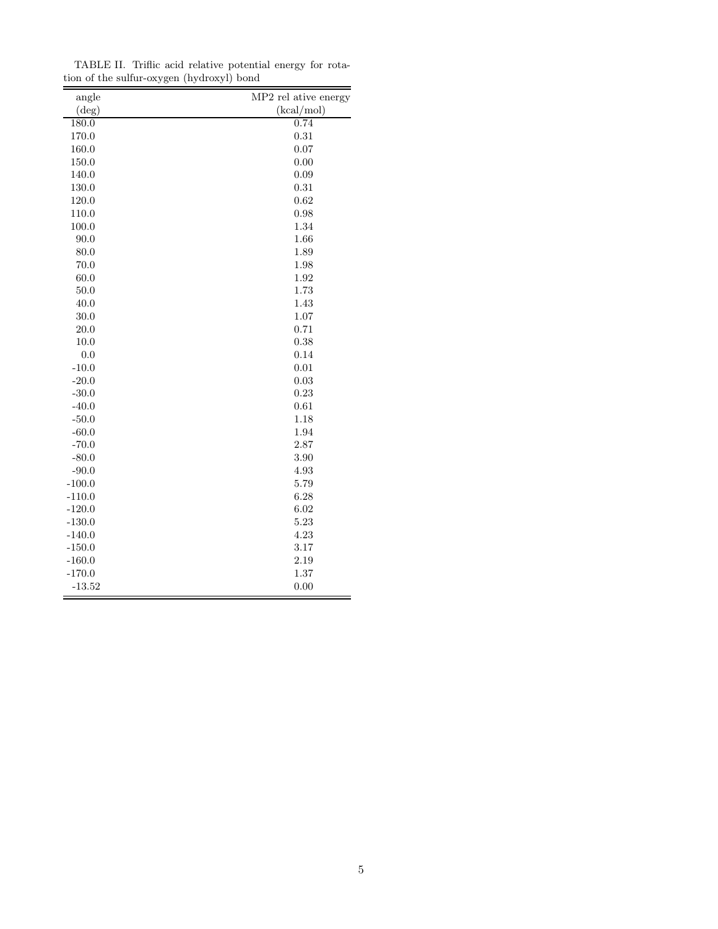| angle          | MP2 rel ative energy |
|----------------|----------------------|
| $(\text{deg})$ | (kcal/mol)           |
| 180.0          | 0.74                 |
| 170.0          | 0.31                 |
| 160.0          | 0.07                 |
| 150.0          | 0.00                 |
| 140.0          | 0.09                 |
| 130.0          | 0.31                 |
| 120.0          | 0.62                 |
| 110.0          | 0.98                 |
| 100.0          | 1.34                 |
| 90.0           | 1.66                 |
| 80.0           | 1.89                 |
| 70.0           | 1.98                 |
| 60.0           | 1.92                 |
| 50.0           | 1.73                 |
| 40.0           | 1.43                 |
| 30.0           | 1.07                 |
| 20.0           | $0.71\,$             |
| 10.0           | 0.38                 |
| 0.0            | 0.14                 |
| $-10.0$        | 0.01                 |
| $-20.0$        | 0.03                 |
| $-30.0$        | 0.23                 |
| $-40.0$        | 0.61                 |
| $-50.0$        | 1.18                 |
| $-60.0$        | 1.94                 |
| $-70.0$        | 2.87                 |
| $-80.0$        | 3.90                 |
| $-90.0$        | 4.93                 |
| $-100.0$       | 5.79                 |
| $-110.0$       | 6.28                 |
| $-120.0$       | 6.02                 |
| $-130.0$       | 5.23                 |
| $-140.0$       | 4.23                 |
| $-150.0$       | 3.17                 |
| $-160.0$       | 2.19                 |
| $-170.0$       | 1.37                 |
| $-13.52$       | 0.00                 |

TABLE II. Triflic acid relative potential energy for rotation of the sulfur-oxygen (hydroxyl) bond ı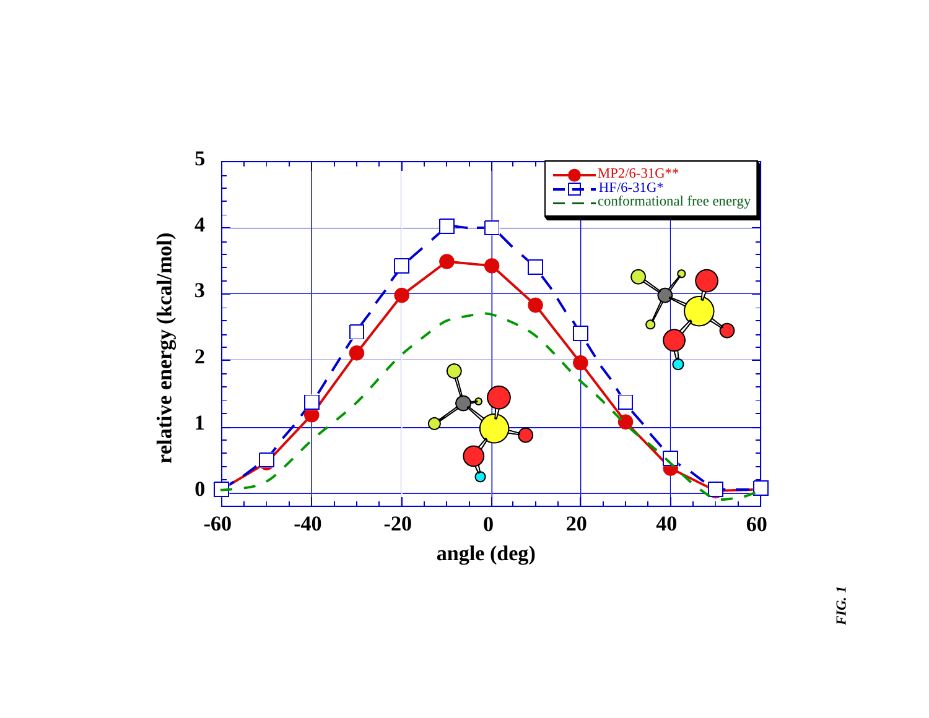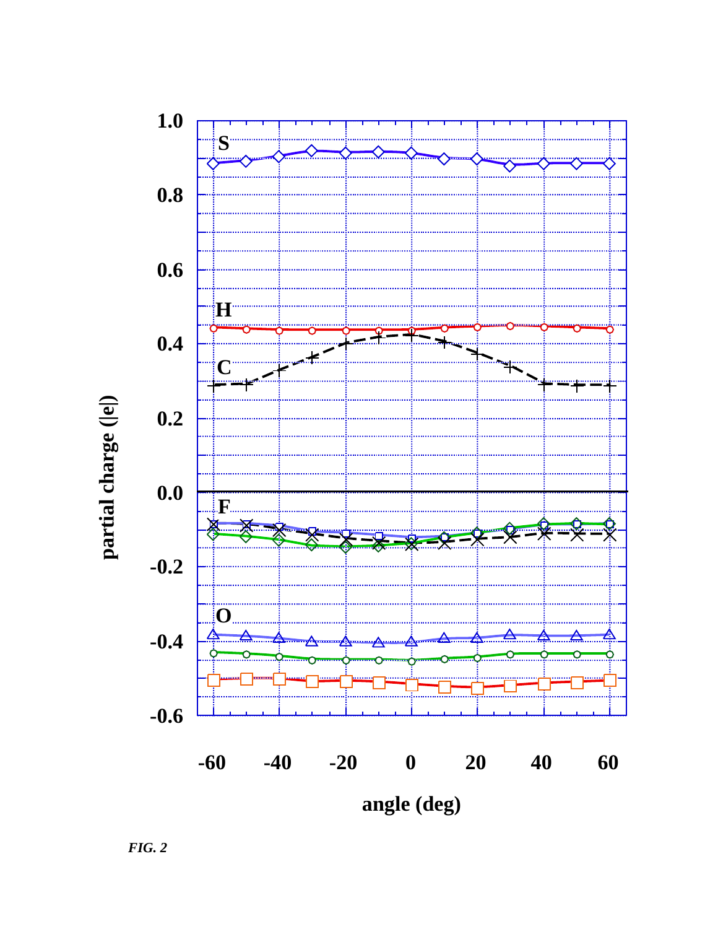

**angle (deg)**

*FIG. 2*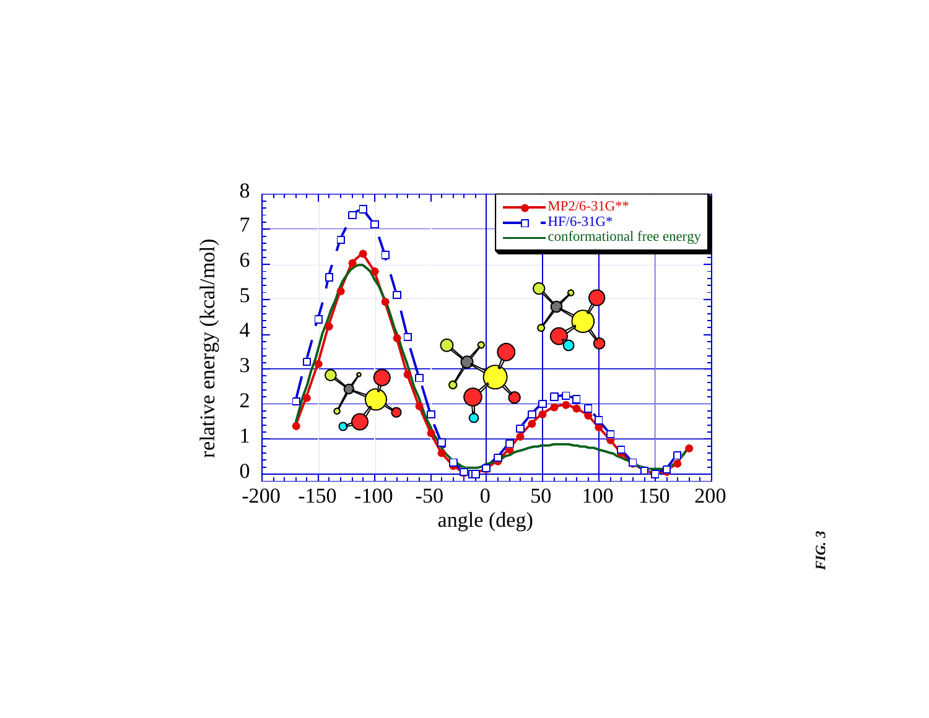